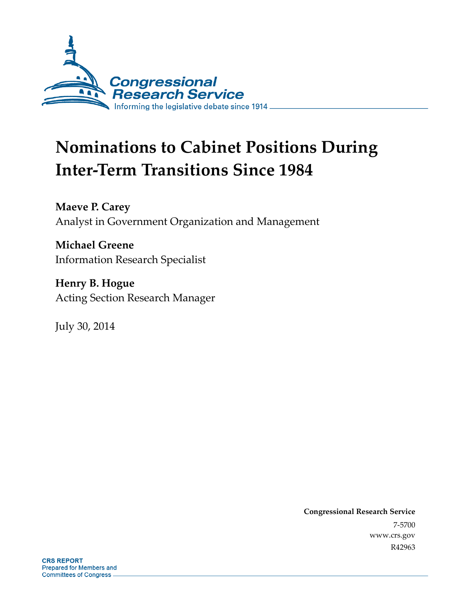

# **Nominations to Cabinet Positions During Inter-Term Transitions Since 1984**

**Maeve P. Carey**  Analyst in Government Organization and Management

**Michael Greene**  Information Research Specialist

**Henry B. Hogue**  Acting Section Research Manager

July 30, 2014

**Congressional Research Service**  7-5700 www.crs.gov R42963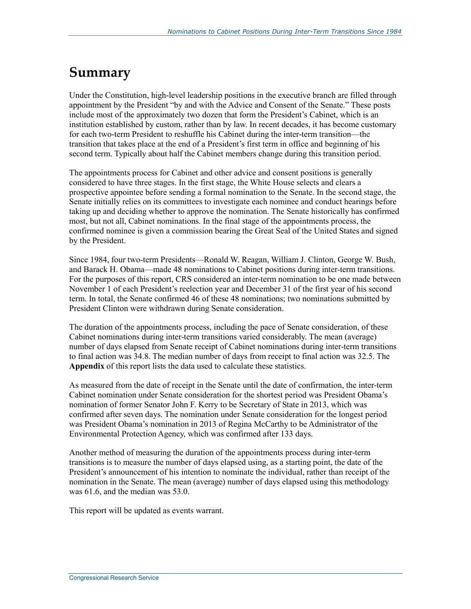## **Summary**

Under the Constitution, high-level leadership positions in the executive branch are filled through appointment by the President "by and with the Advice and Consent of the Senate." These posts include most of the approximately two dozen that form the President's Cabinet, which is an institution established by custom, rather than by law. In recent decades, it has become customary for each two-term President to reshuffle his Cabinet during the inter-term transition—the transition that takes place at the end of a President's first term in office and beginning of his second term. Typically about half the Cabinet members change during this transition period.

The appointments process for Cabinet and other advice and consent positions is generally considered to have three stages. In the first stage, the White House selects and clears a prospective appointee before sending a formal nomination to the Senate. In the second stage, the Senate initially relies on its committees to investigate each nominee and conduct hearings before taking up and deciding whether to approve the nomination. The Senate historically has confirmed most, but not all, Cabinet nominations. In the final stage of the appointments process, the confirmed nominee is given a commission bearing the Great Seal of the United States and signed by the President.

Since 1984, four two-term Presidents—Ronald W. Reagan, William J. Clinton, George W. Bush, and Barack H. Obama—made 48 nominations to Cabinet positions during inter-term transitions. For the purposes of this report, CRS considered an inter-term nomination to be one made between November 1 of each President's reelection year and December 31 of the first year of his second term. In total, the Senate confirmed 46 of these 48 nominations; two nominations submitted by President Clinton were withdrawn during Senate consideration.

The duration of the appointments process, including the pace of Senate consideration, of these Cabinet nominations during inter-term transitions varied considerably. The mean (average) number of days elapsed from Senate receipt of Cabinet nominations during inter-term transitions to final action was 34.8. The median number of days from receipt to final action was 32.5. The **Appendix** of this report lists the data used to calculate these statistics.

As measured from the date of receipt in the Senate until the date of confirmation, the inter-term Cabinet nomination under Senate consideration for the shortest period was President Obama's nomination of former Senator John F. Kerry to be Secretary of State in 2013, which was confirmed after seven days. The nomination under Senate consideration for the longest period was President Obama's nomination in 2013 of Regina McCarthy to be Administrator of the Environmental Protection Agency, which was confirmed after 133 days.

Another method of measuring the duration of the appointments process during inter-term transitions is to measure the number of days elapsed using, as a starting point, the date of the President's announcement of his intention to nominate the individual, rather than receipt of the nomination in the Senate. The mean (average) number of days elapsed using this methodology was 61.6, and the median was 53.0.

This report will be updated as events warrant.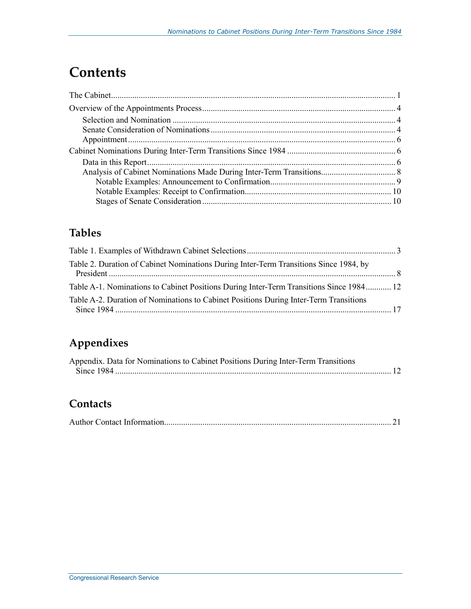## **Contents**

### **Tables**

| Table 2. Duration of Cabinet Nominations During Inter-Term Transitions Since 1984, by   |  |
|-----------------------------------------------------------------------------------------|--|
| Table A-1. Nominations to Cabinet Positions During Inter-Term Transitions Since 1984 12 |  |
| Table A-2. Duration of Nominations to Cabinet Positions During Inter-Term Transitions   |  |

## **Appendixes**

| Appendix. Data for Nominations to Cabinet Positions During Inter-Term Transitions |  |
|-----------------------------------------------------------------------------------|--|
|                                                                                   |  |

### **Contacts**

|--|--|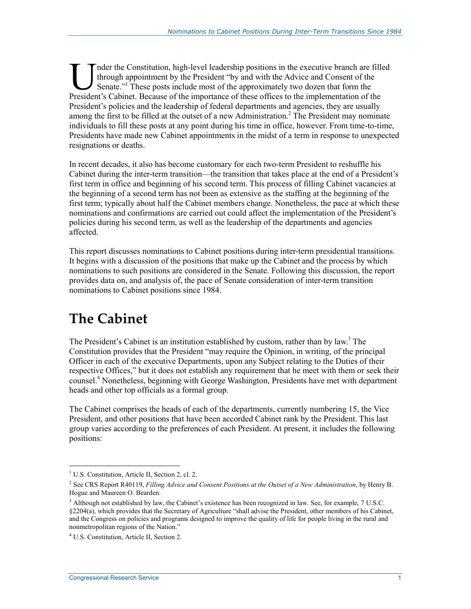nder the Constitution, high-level leadership positions in the executive branch are filled through appointment by the President "by and with the Advice and Consent of the Senate."<sup>1</sup> These posts include most of the approximately two dozen that form the Inder the Constitution, high-level leadership positions in the executive branch are fille through appointment by the President "by and with the Advice and Consent of the Senate."<sup>1</sup> These posts include most of the approxim President's policies and the leadership of federal departments and agencies, they are usually among the first to be filled at the outset of a new Administration.<sup>2</sup> The President may nominate individuals to fill these posts at any point during his time in office, however. From time-to-time, Presidents have made new Cabinet appointments in the midst of a term in response to unexpected resignations or deaths.

In recent decades, it also has become customary for each two-term President to reshuffle his Cabinet during the inter-term transition—the transition that takes place at the end of a President's first term in office and beginning of his second term. This process of filling Cabinet vacancies at the beginning of a second term has not been as extensive as the staffing at the beginning of the first term; typically about half the Cabinet members change. Nonetheless, the pace at which these nominations and confirmations are carried out could affect the implementation of the President's policies during his second term, as well as the leadership of the departments and agencies affected.

This report discusses nominations to Cabinet positions during inter-term presidential transitions. It begins with a discussion of the positions that make up the Cabinet and the process by which nominations to such positions are considered in the Senate. Following this discussion, the report provides data on, and analysis of, the pace of Senate consideration of inter-term transition nominations to Cabinet positions since 1984.

## **The Cabinet**

The President's Cabinet is an institution established by custom, rather than by law.<sup>3</sup> The Constitution provides that the President "may require the Opinion, in writing, of the principal Officer in each of the executive Departments, upon any Subject relating to the Duties of their respective Offices," but it does not establish any requirement that he meet with them or seek their counsel.4 Nonetheless, beginning with George Washington, Presidents have met with department heads and other top officials as a formal group.

The Cabinet comprises the heads of each of the departments, currently numbering 15, the Vice President, and other positions that have been accorded Cabinet rank by the President. This last group varies according to the preferences of each President. At present, it includes the following positions:

 1 U.S. Constitution, Article II, Section 2, cl. 2.

<sup>&</sup>lt;sup>2</sup> See CRS Report R40119, *Filling Advice and Consent Positions at the Outset of a New Administration*, by Henry B. Hogue and Maureen O. Bearden.

<sup>&</sup>lt;sup>3</sup> Although not established by law, the Cabinet's existence has been recognized in law. See, for example, 7 U.S.C. §2204(a), which provides that the Secretary of Agriculture "shall advise the President, other members of his Cabinet, and the Congress on policies and programs designed to improve the quality of life for people living in the rural and nonmetropolitan regions of the Nation."

<sup>4</sup> U.S. Constitution, Article II, Section 2.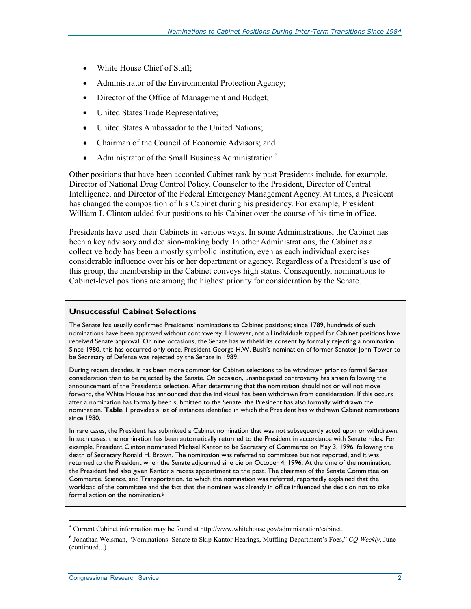- White House Chief of Staff;
- Administrator of the Environmental Protection Agency;
- Director of the Office of Management and Budget;
- United States Trade Representative;
- United States Ambassador to the United Nations;
- Chairman of the Council of Economic Advisors; and
- Administrator of the Small Business Administration.<sup>5</sup>

Other positions that have been accorded Cabinet rank by past Presidents include, for example, Director of National Drug Control Policy, Counselor to the President, Director of Central Intelligence, and Director of the Federal Emergency Management Agency. At times, a President has changed the composition of his Cabinet during his presidency. For example, President William J. Clinton added four positions to his Cabinet over the course of his time in office.

Presidents have used their Cabinets in various ways. In some Administrations, the Cabinet has been a key advisory and decision-making body. In other Administrations, the Cabinet as a collective body has been a mostly symbolic institution, even as each individual exercises considerable influence over his or her department or agency. Regardless of a President's use of this group, the membership in the Cabinet conveys high status. Consequently, nominations to Cabinet-level positions are among the highest priority for consideration by the Senate.

#### **Unsuccessful Cabinet Selections**

The Senate has usually confirmed Presidents' nominations to Cabinet positions; since 1789, hundreds of such nominations have been approved without controversy. However, not all individuals tapped for Cabinet positions have received Senate approval. On nine occasions, the Senate has withheld its consent by formally rejecting a nomination. Since 1980, this has occurred only once. President George H.W. Bush's nomination of former Senator John Tower to be Secretary of Defense was rejected by the Senate in 1989.

During recent decades, it has been more common for Cabinet selections to be withdrawn prior to formal Senate consideration than to be rejected by the Senate. On occasion, unanticipated controversy has arisen following the announcement of the President's selection. After determining that the nomination should not or will not move forward, the White House has announced that the individual has been withdrawn from consideration. If this occurs after a nomination has formally been submitted to the Senate, the President has also formally withdrawn the nomination. **Table 1** provides a list of instances identified in which the President has withdrawn Cabinet nominations since 1980.

In rare cases, the President has submitted a Cabinet nomination that was not subsequently acted upon or withdrawn. In such cases, the nomination has been automatically returned to the President in accordance with Senate rules. For example, President Clinton nominated Michael Kantor to be Secretary of Commerce on May 3, 1996, following the death of Secretary Ronald H. Brown. The nomination was referred to committee but not reported, and it was returned to the President when the Senate adjourned sine die on October 4, 1996. At the time of the nomination, the President had also given Kantor a recess appointment to the post. The chairman of the Senate Committee on Commerce, Science, and Transportation, to which the nomination was referred, reportedly explained that the workload of the committee and the fact that the nominee was already in office influenced the decision not to take formal action on the nomination.<sup>6</sup>

<sup>-&</sup>lt;br><sup>5</sup> Current Cabinet information may be found at http://www.whitehouse.gov/administration/cabinet.

<sup>6</sup> Jonathan Weisman, "Nominations: Senate to Skip Kantor Hearings, Muffling Department's Foes," *CQ Weekly*, June (continued...)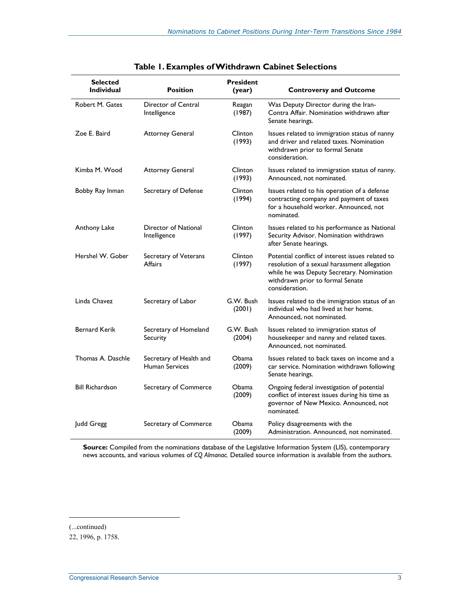| <b>Selected</b><br><b>Individual</b> | <b>Position</b>                                  | <b>President</b><br>(year) | <b>Controversy and Outcome</b>                                                                                                                                                                      |
|--------------------------------------|--------------------------------------------------|----------------------------|-----------------------------------------------------------------------------------------------------------------------------------------------------------------------------------------------------|
| Robert M. Gates                      | Director of Central<br>Intelligence              | Reagan<br>(1987)           | Was Deputy Director during the Iran-<br>Contra Affair. Nomination withdrawn after<br>Senate hearings.                                                                                               |
| Zoe E. Baird                         | <b>Attorney General</b>                          | Clinton<br>(1993)          | Issues related to immigration status of nanny<br>and driver and related taxes. Nomination<br>withdrawn prior to formal Senate<br>consideration.                                                     |
| Kimba M. Wood                        | <b>Attorney General</b>                          | Clinton<br>(1993)          | Issues related to immigration status of nanny.<br>Announced, not nominated.                                                                                                                         |
| Bobby Ray Inman                      | Secretary of Defense                             | Clinton<br>(1994)          | Issues related to his operation of a defense<br>contracting company and payment of taxes<br>for a household worker. Announced, not<br>nominated.                                                    |
| Anthony Lake                         | Director of National<br>Intelligence             | Clinton<br>(1997)          | Issues related to his performance as National<br>Security Advisor. Nomination withdrawn<br>after Senate hearings.                                                                                   |
| Hershel W. Gober                     | Secretary of Veterans<br><b>Affairs</b>          | Clinton<br>(1997)          | Potential conflict of interest issues related to<br>resolution of a sexual harassment allegation<br>while he was Deputy Secretary. Nomination<br>withdrawn prior to formal Senate<br>consideration. |
| Linda Chavez                         | Secretary of Labor                               | G.W. Bush<br>(2001)        | Issues related to the immigration status of an<br>individual who had lived at her home.<br>Announced, not nominated.                                                                                |
| <b>Bernard Kerik</b>                 | Secretary of Homeland<br>Security                | G.W. Bush<br>(2004)        | Issues related to immigration status of<br>housekeeper and nanny and related taxes.<br>Announced, not nominated.                                                                                    |
| Thomas A. Daschle                    | Secretary of Health and<br><b>Human Services</b> | Obama<br>(2009)            | Issues related to back taxes on income and a<br>car service. Nomination withdrawn following<br>Senate hearings.                                                                                     |
| <b>Bill Richardson</b>               | Secretary of Commerce                            | Obama<br>(2009)            | Ongoing federal investigation of potential<br>conflict of interest issues during his time as<br>governor of New Mexico. Announced, not<br>nominated.                                                |
| Judd Gregg                           | Secretary of Commerce                            | Obama<br>(2009)            | Policy disagreements with the<br>Administration. Announced, not nominated.                                                                                                                          |

|  |  | Table 1. Examples of Withdrawn Cabinet Selections |
|--|--|---------------------------------------------------|
|--|--|---------------------------------------------------|

**Source:** Compiled from the nominations database of the Legislative Information System (LIS), contemporary news accounts, and various volumes of *CQ Almanac.* Detailed source information is available from the authors.

<sup>(...</sup>continued)

<sup>22, 1996,</sup> p. 1758.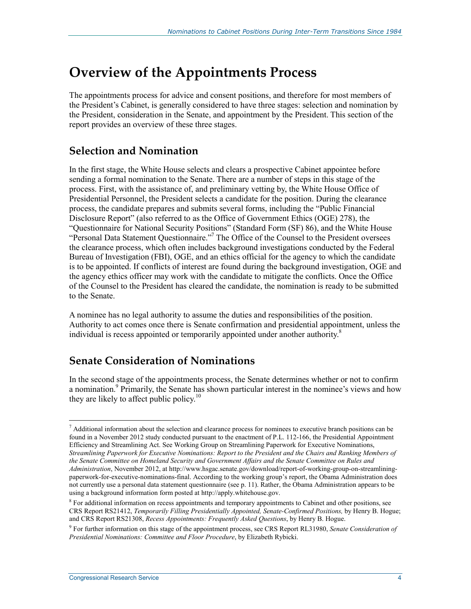## **Overview of the Appointments Process**

The appointments process for advice and consent positions, and therefore for most members of the President's Cabinet, is generally considered to have three stages: selection and nomination by the President, consideration in the Senate, and appointment by the President. This section of the report provides an overview of these three stages.

#### **Selection and Nomination**

In the first stage, the White House selects and clears a prospective Cabinet appointee before sending a formal nomination to the Senate. There are a number of steps in this stage of the process. First, with the assistance of, and preliminary vetting by, the White House Office of Presidential Personnel, the President selects a candidate for the position. During the clearance process, the candidate prepares and submits several forms, including the "Public Financial Disclosure Report" (also referred to as the Office of Government Ethics (OGE) 278), the "Questionnaire for National Security Positions" (Standard Form (SF) 86), and the White House "Personal Data Statement Questionnaire."<sup>7</sup> The Office of the Counsel to the President oversees the clearance process, which often includes background investigations conducted by the Federal Bureau of Investigation (FBI), OGE, and an ethics official for the agency to which the candidate is to be appointed. If conflicts of interest are found during the background investigation, OGE and the agency ethics officer may work with the candidate to mitigate the conflicts. Once the Office of the Counsel to the President has cleared the candidate, the nomination is ready to be submitted to the Senate.

A nominee has no legal authority to assume the duties and responsibilities of the position. Authority to act comes once there is Senate confirmation and presidential appointment, unless the individual is recess appointed or temporarily appointed under another authority.<sup>8</sup>

### **Senate Consideration of Nominations**

In the second stage of the appointments process, the Senate determines whether or not to confirm a nomination.<sup>9</sup> Primarily, the Senate has shown particular interest in the nominee's views and how they are likely to affect public policy.<sup>10</sup>

<u>.</u>

 $<sup>7</sup>$  Additional information about the selection and clearance process for nominees to executive branch positions can be</sup> found in a November 2012 study conducted pursuant to the enactment of P.L. 112-166, the Presidential Appointment Efficiency and Streamlining Act. See Working Group on Streamlining Paperwork for Executive Nominations, *Streamlining Paperwork for Executive Nominations: Report to the President and the Chairs and Ranking Members of the Senate Committee on Homeland Security and Government Affairs and the Senate Committee on Rules and Administration*, November 2012, at http://www.hsgac.senate.gov/download/report-of-working-group-on-streamliningpaperwork-for-executive-nominations-final. According to the working group's report, the Obama Administration does not currently use a personal data statement questionnaire (see p. 11). Rather, the Obama Administration appears to be using a background information form posted at http://apply.whitehouse.gov.

<sup>&</sup>lt;sup>8</sup> For additional information on recess appointments and temporary appointments to Cabinet and other positions, see CRS Report RS21412, *Temporarily Filling Presidentially Appointed, Senate-Confirmed Positions,* by Henry B. Hogue; and CRS Report RS21308, *Recess Appointments: Frequently Asked Questions*, by Henry B. Hogue.

<sup>9</sup> For further information on this stage of the appointment process, see CRS Report RL31980, *Senate Consideration of Presidential Nominations: Committee and Floor Procedure*, by Elizabeth Rybicki.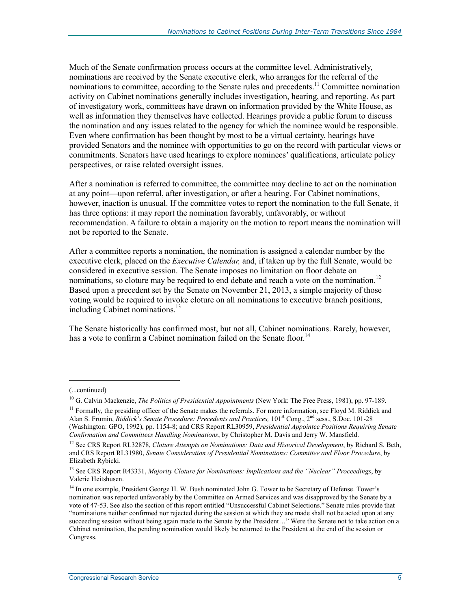Much of the Senate confirmation process occurs at the committee level. Administratively, nominations are received by the Senate executive clerk, who arranges for the referral of the nominations to committee, according to the Senate rules and precedents.<sup>11</sup> Committee nomination activity on Cabinet nominations generally includes investigation, hearing, and reporting. As part of investigatory work, committees have drawn on information provided by the White House, as well as information they themselves have collected. Hearings provide a public forum to discuss the nomination and any issues related to the agency for which the nominee would be responsible. Even where confirmation has been thought by most to be a virtual certainty, hearings have provided Senators and the nominee with opportunities to go on the record with particular views or commitments. Senators have used hearings to explore nominees' qualifications, articulate policy perspectives, or raise related oversight issues.

After a nomination is referred to committee, the committee may decline to act on the nomination at any point—upon referral, after investigation, or after a hearing. For Cabinet nominations, however, inaction is unusual. If the committee votes to report the nomination to the full Senate, it has three options: it may report the nomination favorably, unfavorably, or without recommendation. A failure to obtain a majority on the motion to report means the nomination will not be reported to the Senate.

After a committee reports a nomination, the nomination is assigned a calendar number by the executive clerk, placed on the *Executive Calendar,* and, if taken up by the full Senate, would be considered in executive session. The Senate imposes no limitation on floor debate on nominations, so cloture may be required to end debate and reach a vote on the nomination.<sup>12</sup> Based upon a precedent set by the Senate on November 21, 2013, a simple majority of those voting would be required to invoke cloture on all nominations to executive branch positions, including Cabinet nominations.<sup>13</sup>

The Senate historically has confirmed most, but not all, Cabinet nominations. Rarely, however, has a vote to confirm a Cabinet nomination failed on the Senate floor.<sup>14</sup>

<sup>(...</sup>continued)

<sup>&</sup>lt;sup>10</sup> G. Calvin Mackenzie, *The Politics of Presidential Appointments* (New York: The Free Press, 1981), pp. 97-189.

<sup>&</sup>lt;sup>11</sup> Formally, the presiding officer of the Senate makes the referrals. For more information, see Floyd M. Riddick and Alan S. Frumin, *Riddick's Senate Procedure: Precedents and Practices*, 101<sup>st</sup> Cong., 2<sup>nd</sup> sess., S.Doc. 101-28 (Washington: GPO, 1992), pp. 1154-8; and CRS Report RL30959, *Presidential Appointee Positions Requiring Senate Confirmation and Committees Handling Nominations*, by Christopher M. Davis and Jerry W. Mansfield.

<sup>&</sup>lt;sup>12</sup> See CRS Report RL32878, *Cloture Attempts on Nominations: Data and Historical Development*, by Richard S. Beth, and CRS Report RL31980, *Senate Consideration of Presidential Nominations: Committee and Floor Procedure*, by Elizabeth Rybicki.

<sup>13</sup> See CRS Report R43331, *Majority Cloture for Nominations: Implications and the "Nuclear" Proceedings*, by Valerie Heitshusen.

<sup>&</sup>lt;sup>14</sup> In one example, President George H. W. Bush nominated John G. Tower to be Secretary of Defense. Tower's nomination was reported unfavorably by the Committee on Armed Services and was disapproved by the Senate by a vote of 47-53. See also the section of this report entitled "Unsuccessful Cabinet Selections." Senate rules provide that "nominations neither confirmed nor rejected during the session at which they are made shall not be acted upon at any succeeding session without being again made to the Senate by the President..." Were the Senate not to take action on a Cabinet nomination, the pending nomination would likely be returned to the President at the end of the session or Congress.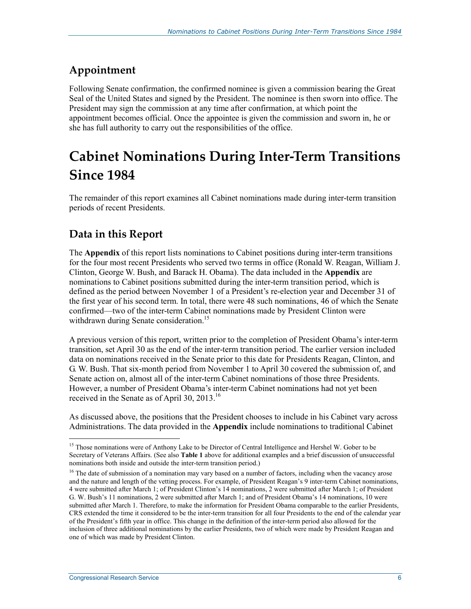### **Appointment**

Following Senate confirmation, the confirmed nominee is given a commission bearing the Great Seal of the United States and signed by the President. The nominee is then sworn into office. The President may sign the commission at any time after confirmation, at which point the appointment becomes official. Once the appointee is given the commission and sworn in, he or she has full authority to carry out the responsibilities of the office.

## **Cabinet Nominations During Inter-Term Transitions Since 1984**

The remainder of this report examines all Cabinet nominations made during inter-term transition periods of recent Presidents.

### **Data in this Report**

The **Appendix** of this report lists nominations to Cabinet positions during inter-term transitions for the four most recent Presidents who served two terms in office (Ronald W. Reagan, William J. Clinton, George W. Bush, and Barack H. Obama). The data included in the **Appendix** are nominations to Cabinet positions submitted during the inter-term transition period, which is defined as the period between November 1 of a President's re-election year and December 31 of the first year of his second term. In total, there were 48 such nominations, 46 of which the Senate confirmed—two of the inter-term Cabinet nominations made by President Clinton were withdrawn during Senate consideration.<sup>15</sup>

A previous version of this report, written prior to the completion of President Obama's inter-term transition, set April 30 as the end of the inter-term transition period. The earlier version included data on nominations received in the Senate prior to this date for Presidents Reagan, Clinton, and G. W. Bush. That six-month period from November 1 to April 30 covered the submission of, and Senate action on, almost all of the inter-term Cabinet nominations of those three Presidents. However, a number of President Obama's inter-term Cabinet nominations had not yet been received in the Senate as of April 30, 2013.<sup>16</sup>

As discussed above, the positions that the President chooses to include in his Cabinet vary across Administrations. The data provided in the **Appendix** include nominations to traditional Cabinet

<sup>&</sup>lt;sup>15</sup> Those nominations were of Anthony Lake to be Director of Central Intelligence and Hershel W. Gober to be Secretary of Veterans Affairs. (See also **Table 1** above for additional examples and a brief discussion of unsuccessful nominations both inside and outside the inter-term transition period.)

<sup>&</sup>lt;sup>16</sup> The date of submission of a nomination may vary based on a number of factors, including when the vacancy arose and the nature and length of the vetting process. For example, of President Reagan's 9 inter-term Cabinet nominations, 4 were submitted after March 1; of President Clinton's 14 nominations, 2 were submitted after March 1; of President G. W. Bush's 11 nominations, 2 were submitted after March 1; and of President Obama's 14 nominations, 10 were submitted after March 1. Therefore, to make the information for President Obama comparable to the earlier Presidents, CRS extended the time it considered to be the inter-term transition for all four Presidents to the end of the calendar year of the President's fifth year in office. This change in the definition of the inter-term period also allowed for the inclusion of three additional nominations by the earlier Presidents, two of which were made by President Reagan and one of which was made by President Clinton.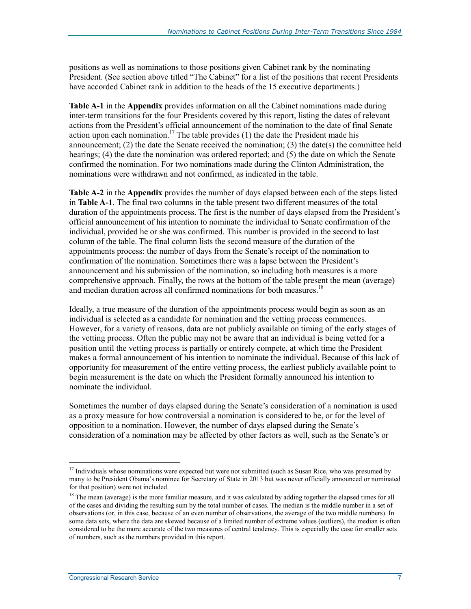positions as well as nominations to those positions given Cabinet rank by the nominating President. (See section above titled "The Cabinet" for a list of the positions that recent Presidents have accorded Cabinet rank in addition to the heads of the 15 executive departments.)

**Table A-1** in the **Appendix** provides information on all the Cabinet nominations made during inter-term transitions for the four Presidents covered by this report, listing the dates of relevant actions from the President's official announcement of the nomination to the date of final Senate action upon each nomination.<sup>17</sup> The table provides (1) the date the President made his announcement; (2) the date the Senate received the nomination; (3) the date(s) the committee held hearings; (4) the date the nomination was ordered reported; and (5) the date on which the Senate confirmed the nomination. For two nominations made during the Clinton Administration, the nominations were withdrawn and not confirmed, as indicated in the table.

**Table A-2** in the **Appendix** provides the number of days elapsed between each of the steps listed in **Table A-1**. The final two columns in the table present two different measures of the total duration of the appointments process. The first is the number of days elapsed from the President's official announcement of his intention to nominate the individual to Senate confirmation of the individual, provided he or she was confirmed. This number is provided in the second to last column of the table. The final column lists the second measure of the duration of the appointments process: the number of days from the Senate's receipt of the nomination to confirmation of the nomination. Sometimes there was a lapse between the President's announcement and his submission of the nomination, so including both measures is a more comprehensive approach. Finally, the rows at the bottom of the table present the mean (average) and median duration across all confirmed nominations for both measures.<sup>18</sup>

Ideally, a true measure of the duration of the appointments process would begin as soon as an individual is selected as a candidate for nomination and the vetting process commences. However, for a variety of reasons, data are not publicly available on timing of the early stages of the vetting process. Often the public may not be aware that an individual is being vetted for a position until the vetting process is partially or entirely compete, at which time the President makes a formal announcement of his intention to nominate the individual. Because of this lack of opportunity for measurement of the entire vetting process, the earliest publicly available point to begin measurement is the date on which the President formally announced his intention to nominate the individual.

Sometimes the number of days elapsed during the Senate's consideration of a nomination is used as a proxy measure for how controversial a nomination is considered to be, or for the level of opposition to a nomination. However, the number of days elapsed during the Senate's consideration of a nomination may be affected by other factors as well, such as the Senate's or

<sup>&</sup>lt;sup>17</sup> Individuals whose nominations were expected but were not submitted (such as Susan Rice, who was presumed by many to be President Obama's nominee for Secretary of State in 2013 but was never officially announced or nominated for that position) were not included.

<sup>&</sup>lt;sup>18</sup> The mean (average) is the more familiar measure, and it was calculated by adding together the elapsed times for all of the cases and dividing the resulting sum by the total number of cases. The median is the middle number in a set of observations (or, in this case, because of an even number of observations, the average of the two middle numbers). In some data sets, where the data are skewed because of a limited number of extreme values (outliers), the median is often considered to be the more accurate of the two measures of central tendency. This is especially the case for smaller sets of numbers, such as the numbers provided in this report.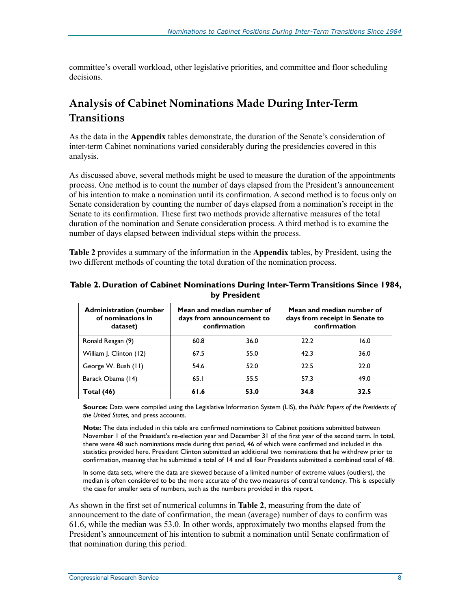committee's overall workload, other legislative priorities, and committee and floor scheduling decisions.

### **Analysis of Cabinet Nominations Made During Inter-Term Transitions**

As the data in the **Appendix** tables demonstrate, the duration of the Senate's consideration of inter-term Cabinet nominations varied considerably during the presidencies covered in this analysis.

As discussed above, several methods might be used to measure the duration of the appointments process. One method is to count the number of days elapsed from the President's announcement of his intention to make a nomination until its confirmation. A second method is to focus only on Senate consideration by counting the number of days elapsed from a nomination's receipt in the Senate to its confirmation. These first two methods provide alternative measures of the total duration of the nomination and Senate consideration process. A third method is to examine the number of days elapsed between individual steps within the process.

**Table 2** provides a summary of the information in the **Appendix** tables, by President, using the two different methods of counting the total duration of the nomination process.

| <b>Administration (number</b><br>of nominations in<br>dataset) |      | Mean and median number of<br>days from announcement to<br>confirmation | Mean and median number of<br>days from receipt in Senate to<br>confirmation |      |  |  |
|----------------------------------------------------------------|------|------------------------------------------------------------------------|-----------------------------------------------------------------------------|------|--|--|
| Ronald Reagan (9)                                              | 60.8 | 36.0                                                                   | 22.2                                                                        | 16.0 |  |  |
| William J. Clinton (12)                                        | 67.5 | 55.0                                                                   | 42.3                                                                        | 36.0 |  |  |
| George W. Bush (11)                                            | 54.6 | 52.0                                                                   | 22.5                                                                        | 22.0 |  |  |
| Barack Obama (14)                                              | 65.1 | 55.5                                                                   | 57.3                                                                        | 49.0 |  |  |
| Total (46)                                                     | 61.6 | 53.0                                                                   | 34.8                                                                        | 32.5 |  |  |

#### **Table 2. Duration of Cabinet Nominations During Inter-Term Transitions Since 1984, by President**

**Source:** Data were compiled using the Legislative Information System (LIS), the *Public Papers of the Presidents of the United States,* and press accounts.

**Note:** The data included in this table are confirmed nominations to Cabinet positions submitted between November 1 of the President's re-election year and December 31 of the first year of the second term. In total, there were 48 such nominations made during that period, 46 of which were confirmed and included in the statistics provided here. President Clinton submitted an additional two nominations that he withdrew prior to confirmation, meaning that he submitted a total of 14 and all four Presidents submitted a combined total of 48.

In some data sets, where the data are skewed because of a limited number of extreme values (outliers), the median is often considered to be the more accurate of the two measures of central tendency. This is especially the case for smaller sets of numbers, such as the numbers provided in this report.

As shown in the first set of numerical columns in **Table 2**, measuring from the date of announcement to the date of confirmation, the mean (average) number of days to confirm was 61.6, while the median was 53.0. In other words, approximately two months elapsed from the President's announcement of his intention to submit a nomination until Senate confirmation of that nomination during this period.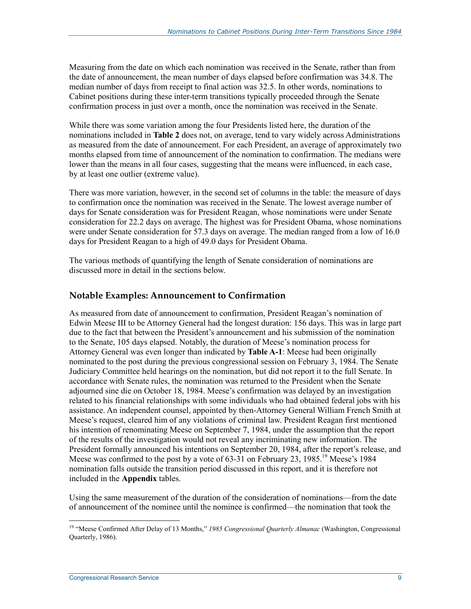Measuring from the date on which each nomination was received in the Senate, rather than from the date of announcement, the mean number of days elapsed before confirmation was 34.8. The median number of days from receipt to final action was 32.5. In other words, nominations to Cabinet positions during these inter-term transitions typically proceeded through the Senate confirmation process in just over a month, once the nomination was received in the Senate.

While there was some variation among the four Presidents listed here, the duration of the nominations included in **Table 2** does not, on average, tend to vary widely across Administrations as measured from the date of announcement. For each President, an average of approximately two months elapsed from time of announcement of the nomination to confirmation. The medians were lower than the means in all four cases, suggesting that the means were influenced, in each case, by at least one outlier (extreme value).

There was more variation, however, in the second set of columns in the table: the measure of days to confirmation once the nomination was received in the Senate. The lowest average number of days for Senate consideration was for President Reagan, whose nominations were under Senate consideration for 22.2 days on average. The highest was for President Obama, whose nominations were under Senate consideration for 57.3 days on average. The median ranged from a low of 16.0 days for President Reagan to a high of 49.0 days for President Obama.

The various methods of quantifying the length of Senate consideration of nominations are discussed more in detail in the sections below.

#### **Notable Examples: Announcement to Confirmation**

As measured from date of announcement to confirmation, President Reagan's nomination of Edwin Meese III to be Attorney General had the longest duration: 156 days. This was in large part due to the fact that between the President's announcement and his submission of the nomination to the Senate, 105 days elapsed. Notably, the duration of Meese's nomination process for Attorney General was even longer than indicated by **Table A-1**: Meese had been originally nominated to the post during the previous congressional session on February 3, 1984. The Senate Judiciary Committee held hearings on the nomination, but did not report it to the full Senate. In accordance with Senate rules, the nomination was returned to the President when the Senate adjourned sine die on October 18, 1984. Meese's confirmation was delayed by an investigation related to his financial relationships with some individuals who had obtained federal jobs with his assistance. An independent counsel, appointed by then-Attorney General William French Smith at Meese's request, cleared him of any violations of criminal law. President Reagan first mentioned his intention of renominating Meese on September 7, 1984, under the assumption that the report of the results of the investigation would not reveal any incriminating new information. The President formally announced his intentions on September 20, 1984, after the report's release, and Meese was confirmed to the post by a vote of  $63-31$  on February 23, 1985.<sup>19</sup> Meese's 1984 nomination falls outside the transition period discussed in this report, and it is therefore not included in the **Appendix** tables.

Using the same measurement of the duration of the consideration of nominations—from the date of announcement of the nominee until the nominee is confirmed—the nomination that took the

<sup>&</sup>lt;sup>19</sup> "Meese Confirmed After Delay of 13 Months," 1985 Congressional Quarterly Almanac (Washington, Congressional Quarterly, 1986).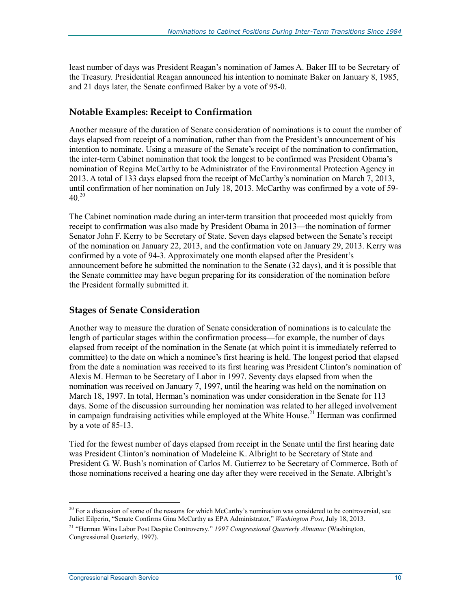least number of days was President Reagan's nomination of James A. Baker III to be Secretary of the Treasury. Presidential Reagan announced his intention to nominate Baker on January 8, 1985, and 21 days later, the Senate confirmed Baker by a vote of 95-0.

#### **Notable Examples: Receipt to Confirmation**

Another measure of the duration of Senate consideration of nominations is to count the number of days elapsed from receipt of a nomination, rather than from the President's announcement of his intention to nominate. Using a measure of the Senate's receipt of the nomination to confirmation, the inter-term Cabinet nomination that took the longest to be confirmed was President Obama's nomination of Regina McCarthy to be Administrator of the Environmental Protection Agency in 2013. A total of 133 days elapsed from the receipt of McCarthy's nomination on March 7, 2013, until confirmation of her nomination on July 18, 2013. McCarthy was confirmed by a vote of 59-  $40^{20}$ 

The Cabinet nomination made during an inter-term transition that proceeded most quickly from receipt to confirmation was also made by President Obama in 2013—the nomination of former Senator John F. Kerry to be Secretary of State. Seven days elapsed between the Senate's receipt of the nomination on January 22, 2013, and the confirmation vote on January 29, 2013. Kerry was confirmed by a vote of 94-3. Approximately one month elapsed after the President's announcement before he submitted the nomination to the Senate (32 days), and it is possible that the Senate committee may have begun preparing for its consideration of the nomination before the President formally submitted it.

#### **Stages of Senate Consideration**

Another way to measure the duration of Senate consideration of nominations is to calculate the length of particular stages within the confirmation process—for example, the number of days elapsed from receipt of the nomination in the Senate (at which point it is immediately referred to committee) to the date on which a nominee's first hearing is held. The longest period that elapsed from the date a nomination was received to its first hearing was President Clinton's nomination of Alexis M. Herman to be Secretary of Labor in 1997. Seventy days elapsed from when the nomination was received on January 7, 1997, until the hearing was held on the nomination on March 18, 1997. In total, Herman's nomination was under consideration in the Senate for 113 days. Some of the discussion surrounding her nomination was related to her alleged involvement in campaign fundraising activities while employed at the White House.<sup>21</sup> Herman was confirmed by a vote of 85-13.

Tied for the fewest number of days elapsed from receipt in the Senate until the first hearing date was President Clinton's nomination of Madeleine K. Albright to be Secretary of State and President G. W. Bush's nomination of Carlos M. Gutierrez to be Secretary of Commerce. Both of those nominations received a hearing one day after they were received in the Senate. Albright's

<sup>1</sup>  $^{20}$  For a discussion of some of the reasons for which McCarthy's nomination was considered to be controversial, see Juliet Eilperin, "Senate Confirms Gina McCarthy as EPA Administrator," *Washington Post*, July 18, 2013.

<sup>21 &</sup>quot;Herman Wins Labor Post Despite Controversy." *1997 Congressional Quarterly Almanac* (Washington, Congressional Quarterly, 1997).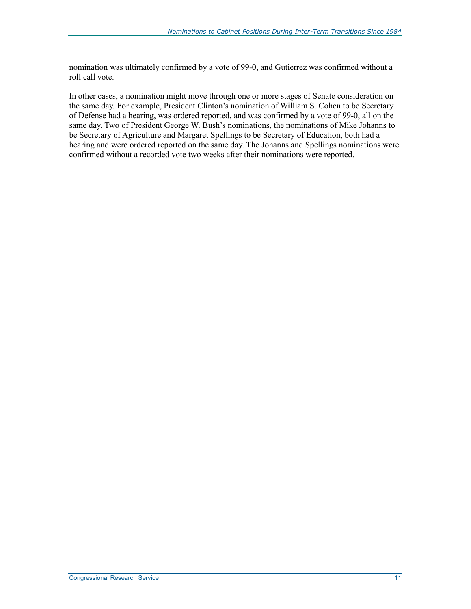nomination was ultimately confirmed by a vote of 99-0, and Gutierrez was confirmed without a roll call vote.

In other cases, a nomination might move through one or more stages of Senate consideration on the same day. For example, President Clinton's nomination of William S. Cohen to be Secretary of Defense had a hearing, was ordered reported, and was confirmed by a vote of 99-0, all on the same day. Two of President George W. Bush's nominations, the nominations of Mike Johanns to be Secretary of Agriculture and Margaret Spellings to be Secretary of Education, both had a hearing and were ordered reported on the same day. The Johanns and Spellings nominations were confirmed without a recorded vote two weeks after their nominations were reported.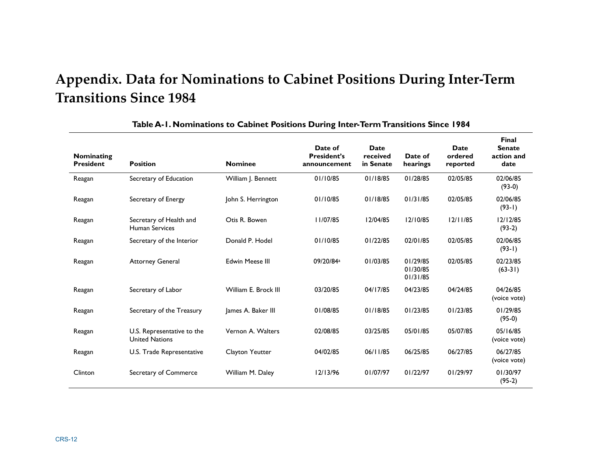## **Appendix. Data for Nominations to Cabinet Positions During Inter-Term Transitions Since 1984**

| Nominating<br><b>President</b> | <b>Position</b>                                     | <b>Nominee</b>         | Date of<br><b>President's</b><br>announcement | <b>Date</b><br>received<br>in Senate | Date of<br>hearings              | <b>Date</b><br>ordered<br>reported | <b>Final</b><br><b>Senate</b><br>action and<br>date |
|--------------------------------|-----------------------------------------------------|------------------------|-----------------------------------------------|--------------------------------------|----------------------------------|------------------------------------|-----------------------------------------------------|
| Reagan                         | Secretary of Education                              | William J. Bennett     | 01/10/85                                      | 01/18/85                             | 01/28/85                         | 02/05/85                           | 02/06/85<br>$(93-0)$                                |
| Reagan                         | Secretary of Energy                                 | John S. Herrington     | 01/10/85                                      | 01/18/85                             | 01/31/85                         | 02/05/85                           | 02/06/85<br>$(93-1)$                                |
| Reagan                         | Secretary of Health and<br><b>Human Services</b>    | Otis R. Bowen          | 11/07/85                                      | 12/04/85                             | 12/10/85                         | 12/11/85                           | 12/12/85<br>$(93-2)$                                |
| Reagan                         | Secretary of the Interior                           | Donald P. Hodel        | 01/10/85                                      | 01/22/85                             | 02/01/85                         | 02/05/85                           | 02/06/85<br>$(93-1)$                                |
| Reagan                         | <b>Attorney General</b>                             | <b>Edwin Meese III</b> | 09/20/84a                                     | 01/03/85                             | 01/29/85<br>01/30/85<br>01/31/85 | 02/05/85                           | 02/23/85<br>$(63-31)$                               |
| Reagan                         | Secretary of Labor                                  | William E. Brock III   | 03/20/85                                      | 04/17/85                             | 04/23/85                         | 04/24/85                           | 04/26/85<br>(voice vote)                            |
| Reagan                         | Secretary of the Treasury                           | James A. Baker III     | 01/08/85                                      | 01/18/85                             | 01/23/85                         | 01/23/85                           | 01/29/85<br>$(95-0)$                                |
| Reagan                         | U.S. Representative to the<br><b>United Nations</b> | Vernon A. Walters      | 02/08/85                                      | 03/25/85                             | 05/01/85                         | 05/07/85                           | 05/16/85<br>(voice vote)                            |
| Reagan                         | U.S. Trade Representative                           | Clayton Yeutter        | 04/02/85                                      | 06/11/85                             | 06/25/85                         | 06/27/85                           | 06/27/85<br>(voice vote)                            |
| Clinton                        | Secretary of Commerce                               | William M. Daley       | 12/13/96                                      | 01/07/97                             | 01/22/97                         | 01/29/97                           | 01/30/97<br>$(95-2)$                                |

#### **Table A-1. Nominations to Cabinet Positions During Inter-Term Transitions Since 1984**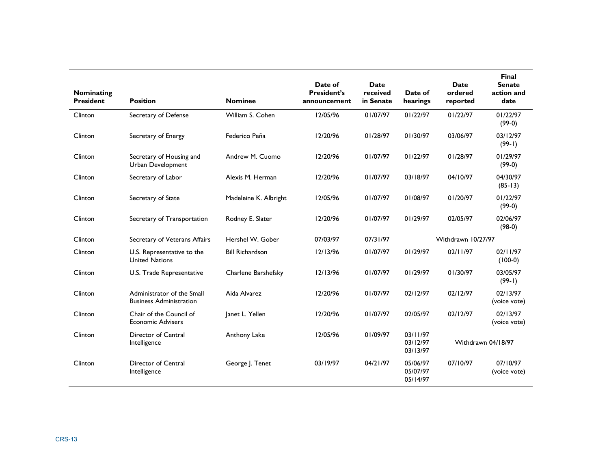| Nominating<br><b>President</b> | <b>Position</b>                                              | <b>Nominee</b>         | Date of<br><b>President's</b><br>announcement | <b>Date</b><br>received<br>in Senate | Date of<br>hearings              | <b>Date</b><br>ordered<br>reported | <b>Final</b><br><b>Senate</b><br>action and<br>date |
|--------------------------------|--------------------------------------------------------------|------------------------|-----------------------------------------------|--------------------------------------|----------------------------------|------------------------------------|-----------------------------------------------------|
| Clinton                        | Secretary of Defense                                         | William S. Cohen       | 12/05/96                                      | 01/07/97                             | 01/22/97                         | 01/22/97                           | 01/22/97<br>$(99-0)$                                |
| Clinton                        | Secretary of Energy                                          | Federico Peña          | 12/20/96                                      | 01/28/97                             | 01/30/97                         | 03/06/97                           | 03/12/97<br>$(99-1)$                                |
| Clinton                        | Secretary of Housing and<br>Urban Development                | Andrew M. Cuomo        | 12/20/96                                      | 01/07/97                             | 01/22/97                         | 01/28/97                           | 01/29/97<br>$(99-0)$                                |
| Clinton                        | Secretary of Labor                                           | Alexis M. Herman       | 12/20/96                                      | 01/07/97                             | 03/18/97                         | 04/10/97                           | 04/30/97<br>$(85-13)$                               |
| Clinton                        | Secretary of State                                           | Madeleine K. Albright  | 12/05/96                                      | 01/07/97                             | 01/08/97                         | 01/20/97                           | 01/22/97<br>$(99-0)$                                |
| Clinton                        | Secretary of Transportation                                  | Rodney E. Slater       | 12/20/96                                      | 01/07/97                             | 01/29/97                         | 02/05/97                           | 02/06/97<br>$(98-0)$                                |
| Clinton                        | Secretary of Veterans Affairs                                | Hershel W. Gober       | 07/03/97                                      | 07/31/97                             |                                  | Withdrawn 10/27/97                 |                                                     |
| Clinton                        | U.S. Representative to the<br><b>United Nations</b>          | <b>Bill Richardson</b> | 12/13/96                                      | 01/07/97                             | 01/29/97                         | 02/11/97                           | 02/11/97<br>$(100-0)$                               |
| Clinton                        | U.S. Trade Representative                                    | Charlene Barshefsky    | 12/13/96                                      | 01/07/97                             | 01/29/97                         | 01/30/97                           | 03/05/97<br>$(99-1)$                                |
| Clinton                        | Administrator of the Small<br><b>Business Administration</b> | Aida Alvarez           | 12/20/96                                      | 01/07/97                             | 02/12/97                         | 02/12/97                           | 02/13/97<br>(voice vote)                            |
| Clinton                        | Chair of the Council of<br><b>Economic Advisers</b>          | Janet L. Yellen        | 12/20/96                                      | 01/07/97                             | 02/05/97                         | 02/12/97                           | 02/13/97<br>(voice vote)                            |
| Clinton                        | Director of Central<br>Intelligence                          | Anthony Lake           | 12/05/96                                      | 01/09/97                             | 03/11/97<br>03/12/97<br>03/13/97 |                                    | Withdrawn 04/18/97                                  |
| Clinton                        | Director of Central<br>Intelligence                          | George J. Tenet        | 03/19/97                                      | 04/21/97                             | 05/06/97<br>05/07/97<br>05/14/97 | 07/10/97                           | 07/10/97<br>(voice vote)                            |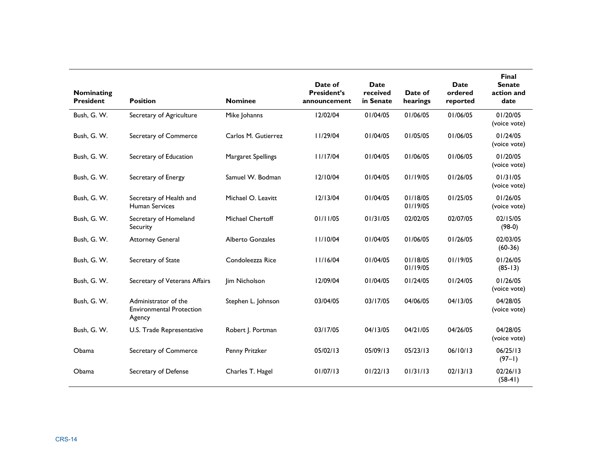| Nominating<br><b>President</b> | <b>Position</b>                                                   | <b>Nominee</b>      | Date of<br><b>President's</b><br>announcement | <b>Date</b><br>received<br>in Senate | Date of<br>hearings  | <b>Date</b><br>ordered<br>reported | <b>Final</b><br><b>Senate</b><br>action and<br>date |
|--------------------------------|-------------------------------------------------------------------|---------------------|-----------------------------------------------|--------------------------------------|----------------------|------------------------------------|-----------------------------------------------------|
| Bush, G. W.                    | Secretary of Agriculture                                          | Mike Johanns        | 12/02/04                                      | 01/04/05                             | 01/06/05             | 01/06/05                           | 01/20/05<br>(voice vote)                            |
| Bush, G. W.                    | Secretary of Commerce                                             | Carlos M. Gutierrez | 11/29/04                                      | 01/04/05                             | 01/05/05             | 01/06/05                           | 01/24/05<br>(voice vote)                            |
| Bush, G. W.                    | Secretary of Education                                            | Margaret Spellings  | 11/17/04                                      | 01/04/05                             | 01/06/05             | 01/06/05                           | 01/20/05<br>(voice vote)                            |
| Bush, G. W.                    | Secretary of Energy                                               | Samuel W. Bodman    | 12/10/04                                      | 01/04/05                             | 01/19/05             | 01/26/05                           | 01/31/05<br>(voice vote)                            |
| Bush, G. W.                    | Secretary of Health and<br><b>Human Services</b>                  | Michael O. Leavitt  | 12/13/04                                      | 01/04/05                             | 01/18/05<br>01/19/05 | 01/25/05                           | 01/26/05<br>(voice vote)                            |
| Bush, G. W.                    | Secretary of Homeland<br>Security                                 | Michael Chertoff    | 01/11/05                                      | 01/31/05                             | 02/02/05             | 02/07/05                           | 02/15/05<br>$(98-0)$                                |
| Bush, G. W.                    | <b>Attorney General</b>                                           | Alberto Gonzales    | 11/10/04                                      | 01/04/05                             | 01/06/05             | 01/26/05                           | 02/03/05<br>$(60-36)$                               |
| Bush, G. W.                    | Secretary of State                                                | Condoleezza Rice    | 11/16/04                                      | 01/04/05                             | 01/18/05<br>01/19/05 | 01/19/05                           | 01/26/05<br>$(85-13)$                               |
| Bush, G. W.                    | Secretary of Veterans Affairs                                     | Jim Nicholson       | 12/09/04                                      | 01/04/05                             | 01/24/05             | 01/24/05                           | 01/26/05<br>(voice vote)                            |
| Bush, G. W.                    | Administrator of the<br><b>Environmental Protection</b><br>Agency | Stephen L. Johnson  | 03/04/05                                      | 03/17/05                             | 04/06/05             | 04/13/05                           | 04/28/05<br>(voice vote)                            |
| Bush, G. W.                    | U.S. Trade Representative                                         | Robert J. Portman   | 03/17/05                                      | 04/13/05                             | 04/21/05             | 04/26/05                           | 04/28/05<br>(voice vote)                            |
| Obama                          | Secretary of Commerce                                             | Penny Pritzker      | 05/02/13                                      | 05/09/13                             | 05/23/13             | 06/10/13                           | 06/25/13<br>$(97-1)$                                |
| Obama                          | Secretary of Defense                                              | Charles T. Hagel    | 01/07/13                                      | 01/22/13                             | 01/31/13             | 02/13/13                           | 02/26/13<br>$(58-41)$                               |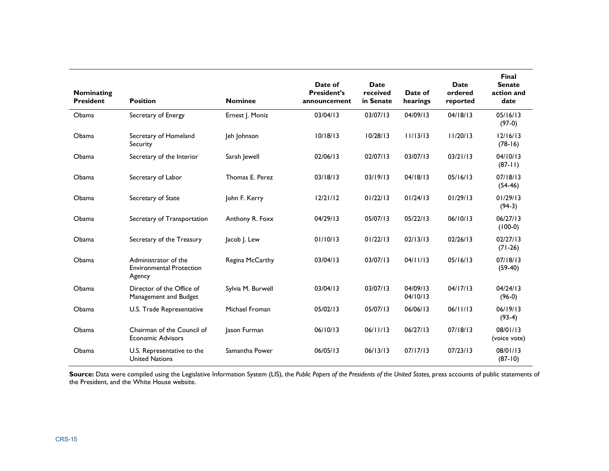| Nominating<br><b>President</b> | <b>Position</b>                                                   | <b>Nominee</b>    | Date of<br><b>President's</b><br>announcement | <b>Date</b><br>received<br>in Senate | Date of<br>hearings  | <b>Date</b><br>ordered<br>reported | Final<br><b>Senate</b><br>action and<br>date |
|--------------------------------|-------------------------------------------------------------------|-------------------|-----------------------------------------------|--------------------------------------|----------------------|------------------------------------|----------------------------------------------|
| Obama                          | Secretary of Energy                                               | Ernest J. Moniz   | 03/04/13                                      | 03/07/13                             | 04/09/13             | 04/18/13                           | 05/16/13<br>$(97-0)$                         |
| Obama                          | Secretary of Homeland<br>Security                                 | Jeh Johnson       | 10/18/13                                      | 10/28/13                             | 11/13/13             | 11/20/13                           | 12/16/13<br>$(78-16)$                        |
| Obama                          | Secretary of the Interior                                         | Sarah Jewell      | 02/06/13                                      | 02/07/13                             | 03/07/13             | 03/21/13                           | 04/10/13<br>$(87-11)$                        |
| Obama                          | Secretary of Labor                                                | Thomas E. Perez   | 03/18/13                                      | 03/19/13                             | 04/18/13             | 05/16/13                           | 07/18/13<br>$(54-46)$                        |
| Obama                          | Secretary of State                                                | John F. Kerry     | 12/21/12                                      | 01/22/13                             | 01/24/13             | 01/29/13                           | 01/29/13<br>$(94-3)$                         |
| Obama                          | Secretary of Transportation                                       | Anthony R. Foxx   | 04/29/13                                      | 05/07/13                             | 05/22/13             | 06/10/13                           | 06/27/13<br>$(100-0)$                        |
| Obama                          | Secretary of the Treasury                                         | Jacob J. Lew      | 01/10/13                                      | 01/22/13                             | 02/13/13             | 02/26/13                           | 02/27/13<br>$(71-26)$                        |
| Obama                          | Administrator of the<br><b>Environmental Protection</b><br>Agency | Regina McCarthy   | 03/04/13                                      | 03/07/13                             | 04/11/13             | 05/16/13                           | 07/18/13<br>$(59-40)$                        |
| Obama                          | Director of the Office of<br>Management and Budget                | Sylvia M. Burwell | 03/04/13                                      | 03/07/13                             | 04/09/13<br>04/10/13 | 04/17/13                           | 04/24/13<br>$(96-0)$                         |
| Obama                          | U.S. Trade Representative                                         | Michael Froman    | 05/02/13                                      | 05/07/13                             | 06/06/13             | 06/11/13                           | 06/19/13<br>$(93-4)$                         |
| Obama                          | Chairman of the Council of<br><b>Economic Advisors</b>            | Jason Furman      | 06/10/13                                      | 06/11/13                             | 06/27/13             | 07/18/13                           | 08/01/13<br>(voice vote)                     |
| Obama                          | U.S. Representative to the<br><b>United Nations</b>               | Samantha Power    | 06/05/13                                      | 06/13/13                             | 07/17/13             | 07/23/13                           | 08/01/13<br>$(87-10)$                        |

**Source:** Data were compiled using the Legislative Information System (LIS), the *Public Papers of the Presidents of the United States,* press accounts of public statements of the President, and the White House website.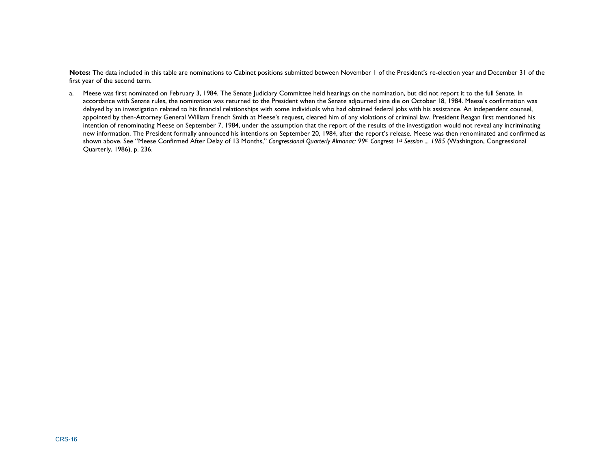**Notes:** The data included in this table are nominations to Cabinet positions submitted between November 1 of the President's re-election year and December 31 of the first year of the second term.

a. Meese was first nominated on February 3, 1984. The Senate Judiciary Committee held hearings on the nomination, but did not report it to the full Senate. In accordance with Senate rules, the nomination was returned to the President when the Senate adjourned sine die on October 18, 1984. Meese's confirmation was delayed by an investigation related to his financial relationships with some individuals who had obtained federal jobs with his assistance. An independent counsel, appointed by then-Attorney General William French Smith at Meese's request, cleared him of any violations of criminal law. President Reagan first mentioned his intention of renominating Meese on September 7, 1984, under the assumption that the report of the results of the investigation would not reveal any incriminating new information. The President formally announced his intentions on September 20, 1984, after the report's release. Meese was then renominated and confirmed as shown above. See "Meese Confirmed After Delay of 13 Months," *Congressional Quarterly Almanac: 99th Congress 1st Session ... 1985* (Washington, Congressional Quarterly, 1986), p. 236.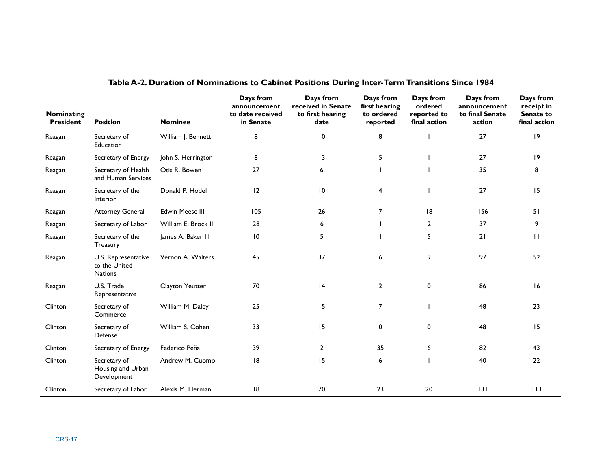| <b>Nominating</b><br><b>President</b> | <b>Position</b>                                        | <b>Nominee</b>         | Days from<br>announcement<br>to date received<br>in Senate | Days from<br>received in Senate<br>to first hearing<br>date | Days from<br>first hearing<br>to ordered<br>reported | Days from<br>ordered<br>reported to<br>final action | Days from<br>announcement<br>to final Senate<br>action | Days from<br>receipt in<br>Senate to<br>final action |
|---------------------------------------|--------------------------------------------------------|------------------------|------------------------------------------------------------|-------------------------------------------------------------|------------------------------------------------------|-----------------------------------------------------|--------------------------------------------------------|------------------------------------------------------|
| Reagan                                | Secretary of<br>Education                              | William J. Bennett     | 8                                                          | 10                                                          | 8                                                    |                                                     | 27                                                     | $ 9\rangle$                                          |
| Reagan                                | Secretary of Energy                                    | John S. Herrington     | 8                                                          | 13                                                          | 5                                                    |                                                     | 27                                                     | 19                                                   |
| Reagan                                | Secretary of Health<br>and Human Services              | Otis R. Bowen          | 27                                                         | 6                                                           |                                                      |                                                     | 35                                                     | 8                                                    |
| Reagan                                | Secretary of the<br>Interior                           | Donald P. Hodel        | 12                                                         | $\overline{10}$                                             | 4                                                    |                                                     | 27                                                     | 15                                                   |
| Reagan                                | <b>Attorney General</b>                                | <b>Edwin Meese III</b> | 105                                                        | 26                                                          | $\overline{7}$                                       | 8                                                   | 156                                                    | 51                                                   |
| Reagan                                | Secretary of Labor                                     | William E. Brock III   | 28                                                         | 6                                                           |                                                      | $\overline{2}$                                      | 37                                                     | 9                                                    |
| Reagan                                | Secretary of the<br>Treasury                           | James A. Baker III     | $\overline{10}$                                            | 5                                                           |                                                      | 5                                                   | 21                                                     | П                                                    |
| Reagan                                | U.S. Representative<br>to the United<br><b>Nations</b> | Vernon A. Walters      | 45                                                         | 37                                                          | 6                                                    | 9                                                   | 97                                                     | 52                                                   |
| Reagan                                | U.S. Trade<br>Representative                           | Clayton Yeutter        | 70                                                         | 4                                                           | $\overline{2}$                                       | 0                                                   | 86                                                     | 16                                                   |
| Clinton                               | Secretary of<br>Commerce                               | William M. Daley       | 25                                                         | 15                                                          | $\overline{7}$                                       |                                                     | 48                                                     | 23                                                   |
| Clinton                               | Secretary of<br>Defense                                | William S. Cohen       | 33                                                         | 15                                                          | 0                                                    | 0                                                   | 48                                                     | 15                                                   |
| Clinton                               | Secretary of Energy                                    | Federico Peña          | 39                                                         | $\overline{2}$                                              | 35                                                   | 6                                                   | 82                                                     | 43                                                   |
| Clinton                               | Secretary of<br>Housing and Urban<br>Development       | Andrew M. Cuomo        | 8                                                          | 15                                                          | 6                                                    |                                                     | 40                                                     | 22                                                   |
| Clinton                               | Secretary of Labor                                     | Alexis M. Herman       | 8                                                          | 70                                                          | 23                                                   | 20                                                  | 3                                                      | 113                                                  |

#### **Table A-2. Duration of Nominations to Cabinet Positions During Inter-Term Transitions Since 1984**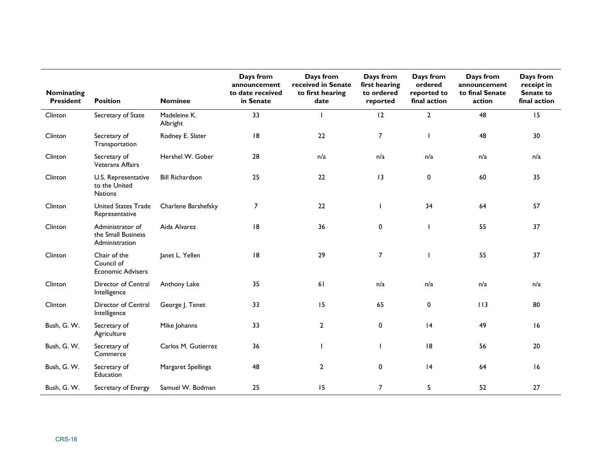| Nominating<br><b>President</b> | <b>Position</b>                                          | <b>Nominee</b>           | Days from<br>announcement<br>to date received<br>in Senate | Days from<br>received in Senate<br>to first hearing<br>date | Days from<br>first hearing<br>to ordered<br>reported | Days from<br>ordered<br>reported to<br>final action | Days from<br>announcement<br>to final Senate<br>action | Days from<br>receipt in<br>Senate to<br>final action |
|--------------------------------|----------------------------------------------------------|--------------------------|------------------------------------------------------------|-------------------------------------------------------------|------------------------------------------------------|-----------------------------------------------------|--------------------------------------------------------|------------------------------------------------------|
| Clinton                        | Secretary of State                                       | Madeleine K.<br>Albright | 33                                                         | T                                                           | 12                                                   | $\overline{2}$                                      | 48                                                     | 15                                                   |
| Clinton                        | Secretary of<br>Transportation                           | Rodney E. Slater         | 8                                                          | 22                                                          | $\overline{7}$                                       |                                                     | 48                                                     | 30                                                   |
| Clinton                        | Secretary of<br><b>Veterans Affairs</b>                  | Hershel W. Gober         | 28                                                         | n/a                                                         | n/a                                                  | n/a                                                 | n/a                                                    | n/a                                                  |
| Clinton                        | U.S. Representative<br>to the United<br><b>Nations</b>   | <b>Bill Richardson</b>   | 25                                                         | 22                                                          | 3                                                    | 0                                                   | 60                                                     | 35                                                   |
| Clinton                        | <b>United States Trade</b><br>Representative             | Charlene Barshefsky      | 7                                                          | 22                                                          |                                                      | 34                                                  | 64                                                     | 57                                                   |
| Clinton                        | Administrator of<br>the Small Business<br>Administration | Aida Alvarez             | 8                                                          | 36                                                          | 0                                                    |                                                     | 55                                                     | 37                                                   |
| Clinton                        | Chair of the<br>Council of<br><b>Economic Advisers</b>   | Janet L. Yellen          | 8                                                          | 29                                                          | $\overline{7}$                                       |                                                     | 55                                                     | 37                                                   |
| Clinton                        | Director of Central<br>Intelligence                      | Anthony Lake             | 35                                                         | 61                                                          | n/a                                                  | n/a                                                 | n/a                                                    | n/a                                                  |
| Clinton                        | Director of Central<br>Intelligence                      | George J. Tenet          | 33                                                         | 15                                                          | 65                                                   | $\mathbf 0$                                         | 113                                                    | 80                                                   |
| Bush, G. W.                    | Secretary of<br>Agriculture                              | Mike Johanns             | 33                                                         | $\mathbf{2}$                                                | 0                                                    | 4                                                   | 49                                                     | 16                                                   |
| Bush, G. W.                    | Secretary of<br>Commerce                                 | Carlos M. Gutierrez      | 36                                                         | $\mathbf{I}$                                                |                                                      | 18                                                  | 56                                                     | 20                                                   |
| Bush, G. W.                    | Secretary of<br>Education                                | Margaret Spellings       | 48                                                         | $\overline{2}$                                              | $\mathbf 0$                                          | 4                                                   | 64                                                     | 16                                                   |
| Bush, G. W.                    | Secretary of Energy                                      | Samuel W. Bodman         | 25                                                         | 15                                                          | $\overline{7}$                                       | 5                                                   | 52                                                     | 27                                                   |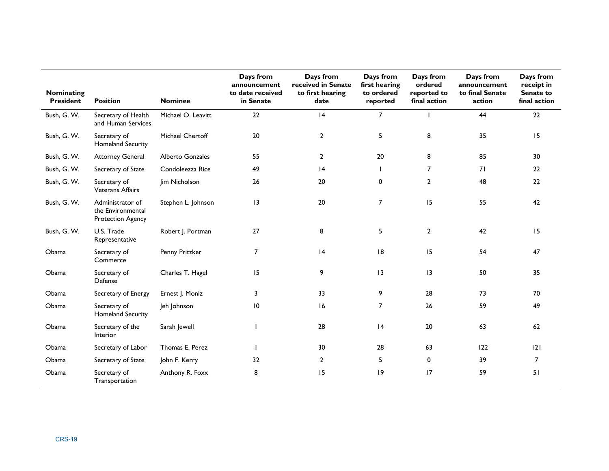| Nominating<br><b>President</b> | <b>Position</b>                                            | <b>Nominee</b>     | Days from<br>announcement<br>to date received<br>in Senate | Days from<br>received in Senate<br>to first hearing<br>date | Days from<br>first hearing<br>to ordered<br>reported | Days from<br>ordered<br>reported to<br>final action | Days from<br>announcement<br>to final Senate<br>action | Days from<br>receipt in<br>Senate to<br>final action |
|--------------------------------|------------------------------------------------------------|--------------------|------------------------------------------------------------|-------------------------------------------------------------|------------------------------------------------------|-----------------------------------------------------|--------------------------------------------------------|------------------------------------------------------|
| Bush, G. W.                    | Secretary of Health<br>and Human Services                  | Michael O. Leavitt | 22                                                         | 4                                                           | $\overline{7}$                                       |                                                     | 44                                                     | 22                                                   |
| Bush, G. W.                    | Secretary of<br>Homeland Security                          | Michael Chertoff   | 20                                                         | $\overline{2}$                                              | 5                                                    | 8                                                   | 35                                                     | 15                                                   |
| Bush, G. W.                    | <b>Attorney General</b>                                    | Alberto Gonzales   | 55                                                         | $\overline{2}$                                              | 20                                                   | 8                                                   | 85                                                     | 30                                                   |
| Bush, G. W.                    | Secretary of State                                         | Condoleezza Rice   | 49                                                         | 4                                                           |                                                      | $\overline{7}$                                      | 71                                                     | 22                                                   |
| Bush, G. W.                    | Secretary of<br><b>Veterans Affairs</b>                    | Jim Nicholson      | 26                                                         | 20                                                          | $\mathbf 0$                                          | $\mathbf{2}$                                        | 48                                                     | 22                                                   |
| Bush, G. W.                    | Administrator of<br>the Environmental<br>Protection Agency | Stephen L. Johnson | 3                                                          | 20                                                          | $\overline{7}$                                       | 15                                                  | 55                                                     | 42                                                   |
| Bush, G. W.                    | U.S. Trade<br>Representative                               | Robert J. Portman  | 27                                                         | 8                                                           | 5                                                    | $\mathbf{2}$                                        | 42                                                     | 15                                                   |
| Obama                          | Secretary of<br>Commerce                                   | Penny Pritzker     | $\overline{7}$                                             | 4                                                           | 18                                                   | 15                                                  | 54                                                     | 47                                                   |
| Obama                          | Secretary of<br>Defense                                    | Charles T. Hagel   | 15                                                         | 9                                                           | 13                                                   | 3                                                   | 50                                                     | 35                                                   |
| Obama                          | Secretary of Energy                                        | Ernest J. Moniz    | 3                                                          | 33                                                          | 9                                                    | 28                                                  | 73                                                     | 70                                                   |
| Obama                          | Secretary of<br><b>Homeland Security</b>                   | Jeh Johnson        | $\overline{10}$                                            | 16                                                          | $\overline{7}$                                       | 26                                                  | 59                                                     | 49                                                   |
| Obama                          | Secretary of the<br>Interior                               | Sarah Jewell       |                                                            | 28                                                          | 4                                                    | 20                                                  | 63                                                     | 62                                                   |
| Obama                          | Secretary of Labor                                         | Thomas E. Perez    |                                                            | 30                                                          | 28                                                   | 63                                                  | 122                                                    | 2                                                    |
| Obama                          | Secretary of State                                         | John F. Kerry      | 32                                                         | $\overline{2}$                                              | 5                                                    | 0                                                   | 39                                                     | $\overline{7}$                                       |
| Obama                          | Secretary of<br>Transportation                             | Anthony R. Foxx    | 8                                                          | 15                                                          | $ 9\rangle$                                          | 17                                                  | 59                                                     | 51                                                   |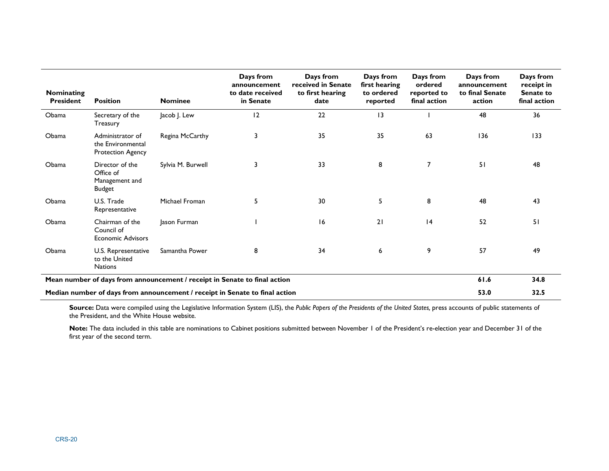| <b>Nominating</b><br><b>President</b>                                       | <b>Position</b>                                                   | <b>Nominee</b>    | Days from<br>announcement<br>to date received<br>in Senate | Days from<br>received in Senate<br>to first hearing<br>date | Days from<br>first hearing<br>to ordered<br>reported | Days from<br>ordered<br>reported to<br>final action | Days from<br>announcement<br>to final Senate<br>action | Days from<br>receipt in<br>Senate to<br>final action |
|-----------------------------------------------------------------------------|-------------------------------------------------------------------|-------------------|------------------------------------------------------------|-------------------------------------------------------------|------------------------------------------------------|-----------------------------------------------------|--------------------------------------------------------|------------------------------------------------------|
| Obama                                                                       | Secretary of the<br>Treasury                                      | Jacob J. Lew      | 12                                                         | 22                                                          | 3                                                    |                                                     | 48                                                     | 36                                                   |
| Obama                                                                       | Administrator of<br>the Environmental<br><b>Protection Agency</b> | Regina McCarthy   | 3                                                          | 35                                                          | 35                                                   | 63                                                  | 136                                                    | 133                                                  |
| Obama                                                                       | Director of the<br>Office of<br>Management and<br><b>Budget</b>   | Sylvia M. Burwell | 3                                                          | 33                                                          | 8                                                    | 7                                                   | 51                                                     | 48                                                   |
| Obama                                                                       | U.S. Trade<br>Representative                                      | Michael Froman    | 5                                                          | 30                                                          | 5                                                    | 8                                                   | 48                                                     | 43                                                   |
| Obama                                                                       | Chairman of the<br>Council of<br><b>Economic Advisors</b>         | Jason Furman      |                                                            | 16                                                          | 21                                                   | 4                                                   | 52                                                     | 51                                                   |
| Obama                                                                       | U.S. Representative<br>to the United<br><b>Nations</b>            | Samantha Power    | 8                                                          | 34                                                          | 6                                                    | 9                                                   | 57                                                     | 49                                                   |
| Mean number of days from announcement / receipt in Senate to final action   |                                                                   |                   |                                                            |                                                             |                                                      |                                                     | 61.6                                                   | 34.8                                                 |
| Median number of days from announcement / receipt in Senate to final action |                                                                   |                   |                                                            |                                                             |                                                      |                                                     | 53.0                                                   | 32.5                                                 |

**Source:** Data were compiled using the Legislative Information System (LIS), the *Public Papers of the Presidents of the United States,* press accounts of public statements of the President, and the White House website.

**Note:** The data included in this table are nominations to Cabinet positions submitted between November 1 of the President's re-election year and December 31 of the first year of the second term.